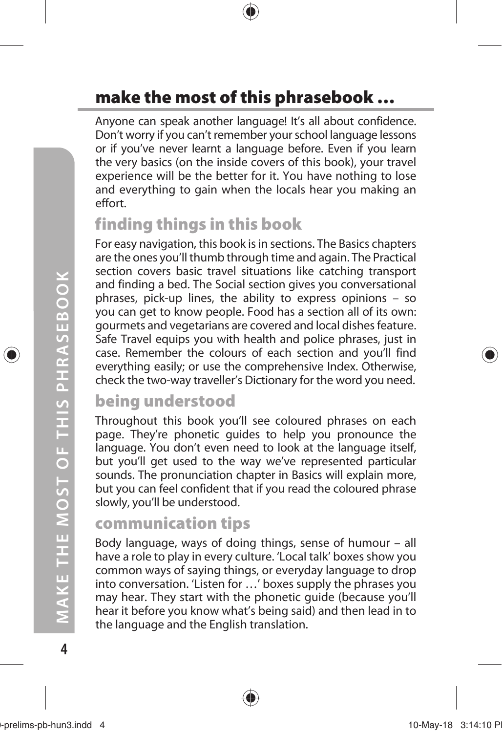# make the most of this phrasebook …

Anyone can speak another language! It's all about confidence. Don't worry if you can't remember your school language lessons or if you've never learnt a language before. Even if you learn the very basics (on the inside covers of this book), your travel experience will be the better for it. You have nothing to lose and everything to gain when the locals hear you making an effort.

# finding things in this book

For easy navigation, this book is in sections. The Basics chapters are the ones you'll thumb through time and again. The Practical section covers basic travel situations like catching transport and finding a bed. The Social section gives you conversational phrases, pick-up lines, the ability to express opinions – so you can get to know people. Food has a section all of its own: gourmets and vegetarians are covered and local dishes feature. Safe Travel equips you with health and police phrases, just in case. Remember the colours of each section and you'll find everything easily; or use the comprehensive Index. Otherwise, check the two-way traveller's Dictionary for the word you need. **MAKE THE MOST OF THIS PHRASEBOOK**the language and the English translation.

# being understood

Throughout this book you'll see coloured phrases on each page. They're phonetic guides to help you pronounce the language. You don't even need to look at the language itself, but you'll get used to the way we've represented particular sounds. The pronunciation chapter in Basics will explain more, but you can feel confident that if you read the coloured phrase slowly, you'll be understood.

# communication tips

Body language, ways of doing things, sense of humour – all have a role to play in every culture. 'Local talk' boxes show you common ways of saying things, or everyday language to drop into conversation. 'Listen for …' boxes supply the phrases you may hear. They start with the phonetic guide (because you'll hear it before you know what's being said) and then lead in to the language and the English translation.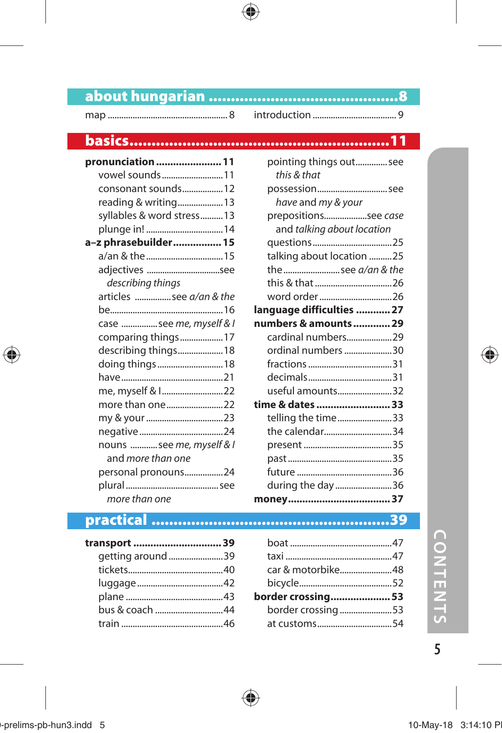# *more than one*

### practical ......................................................39

| more than one |  |
|---------------|--|
| usatiasl      |  |

| have and my & your         |  |
|----------------------------|--|
| prepositionssee case       |  |
| and talking about location |  |
|                            |  |
| talking about location 25  |  |
| thesee a/an & the          |  |
|                            |  |
| word order26               |  |
| language difficulties 27   |  |
| numbers & amounts  29      |  |
| cardinal numbers29         |  |
| ordinal numbers 30         |  |
|                            |  |
|                            |  |
| useful amounts32           |  |
| time & dates  33           |  |
| telling the time33         |  |
| the calendar34             |  |
|                            |  |
|                            |  |
|                            |  |
| during the day36           |  |
|                            |  |
|                            |  |

#### basics ...........................................................11

| pronunciation  11         |  |
|---------------------------|--|
| vowel sounds 11           |  |
| consonant sounds12        |  |
| reading & writing13       |  |
| syllables & word stress13 |  |
|                           |  |
| a-z phrasebuilder 15      |  |
|                           |  |
|                           |  |
| describing things         |  |
| articles see a/an & the   |  |
|                           |  |
| case see me, myself & I   |  |
| comparing things17        |  |
| describing things18       |  |
| doing things 18           |  |
|                           |  |
| me, myself & I22          |  |
| more than one22           |  |
| my & your 23              |  |
|                           |  |
| nouns see me, myself & I  |  |
| and more than one         |  |
| personal pronouns24       |  |
|                           |  |
| more than one             |  |
|                           |  |

#### **transport ............................... 39** getting around ........................39 tickets ..........................................40 luggage ......................................42 plane ...........................................43 bus & coach ..............................44 train .............................................46

| car & motorbike48  |  |
|--------------------|--|
|                    |  |
| border crossing 53 |  |
| border crossing53  |  |
|                    |  |

map ..................................................... 8 introduction ..................................... 9

pointing things out...............see

possession ...............................see

*this & that*

about hungarian ...........................................8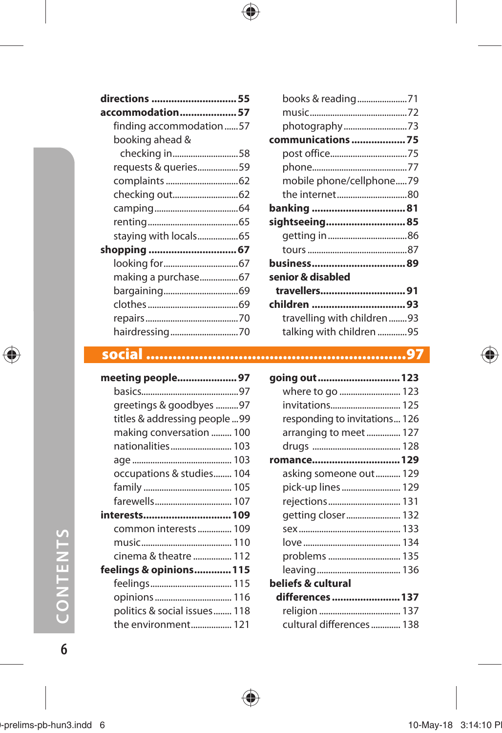| directions  55          |  |
|-------------------------|--|
| accommodation 57        |  |
| finding accommodation57 |  |
| booking ahead &         |  |
| checking in58           |  |
| requests & queries59    |  |
|                         |  |
|                         |  |
|                         |  |
|                         |  |
| staying with locals65   |  |
| shopping  67            |  |
|                         |  |
| making a purchase67     |  |
|                         |  |
|                         |  |
|                         |  |
| hairdressing70          |  |
|                         |  |

| books & reading71          |  |
|----------------------------|--|
|                            |  |
| photography73              |  |
| communications 75          |  |
|                            |  |
|                            |  |
| mobile phone/cellphone79   |  |
|                            |  |
| banking 81                 |  |
| sightseeing 85             |  |
|                            |  |
|                            |  |
|                            |  |
| senior & disabled          |  |
| travellers91               |  |
|                            |  |
| travelling with children93 |  |
| talking with children 95   |  |
|                            |  |

social ...........................................................97

| meeting people 97             |  |
|-------------------------------|--|
|                               |  |
| greetings & goodbyes 97       |  |
| titles & addressing people 99 |  |
| making conversation  100      |  |
| nationalities 103             |  |
|                               |  |
| occupations & studies 104     |  |
|                               |  |
|                               |  |
| interests 109                 |  |
| common interests 109          |  |
|                               |  |
| cinema & theatre  112         |  |
| feelings & opinions 115       |  |
|                               |  |
|                               |  |
| politics & social issues 118  |  |
| the environment 121           |  |
|                               |  |

| going out  123                |  |
|-------------------------------|--|
| where to go  123              |  |
| invitations 125               |  |
| responding to invitations 126 |  |
| arranging to meet 127         |  |
|                               |  |
| romance 129                   |  |
| asking someone out 129        |  |
| pick-up lines  129            |  |
| rejections 131                |  |
| getting closer 132            |  |
|                               |  |
|                               |  |
| problems  135                 |  |
|                               |  |
| beliefs & cultural            |  |
| differences  137              |  |
|                               |  |
| cultural differences  138     |  |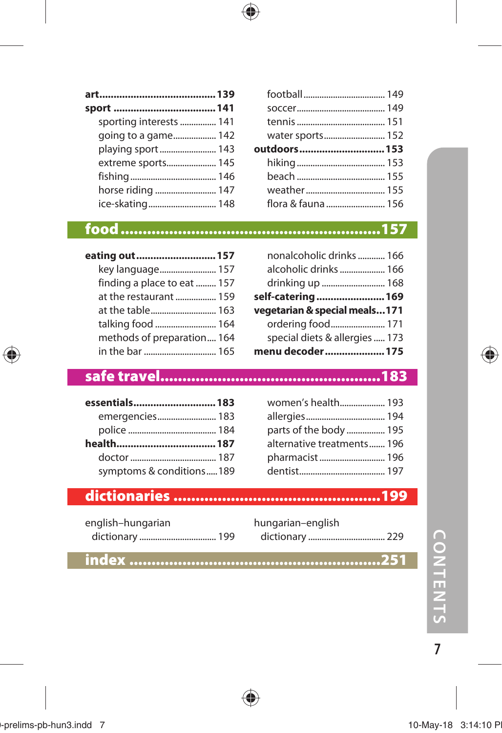| sporting interests  141 |  |
|-------------------------|--|
| going to a game 142     |  |
| playing sport 143       |  |
| extreme sports 145      |  |
|                         |  |
| horse riding  147       |  |
| ice-skating 148         |  |

| water sports 152 |  |
|------------------|--|
| outdoors 153     |  |
|                  |  |
|                  |  |
|                  |  |
|                  |  |

## food ...........................................................157

| eating out………………………157      |  |
|-----------------------------|--|
| key language 157            |  |
| finding a place to eat  157 |  |
| at the restaurant  159      |  |
|                             |  |
|                             |  |
| methods of preparation 164  |  |
| in the bar  165             |  |

| nonalcoholic drinks  166       |  |
|--------------------------------|--|
| alcoholic drinks  166          |  |
|                                |  |
| self-catering  169             |  |
|                                |  |
| vegetarian & special meals171  |  |
| ordering food 171              |  |
| special diets & allergies  173 |  |

## safe travel..................................................183

| essentials183   |  |
|-----------------|--|
| emergencies 183 |  |
|                 |  |
|                 |  |
|                 |  |
|                 |  |

| women's health 193         |  |
|----------------------------|--|
| allergies 194              |  |
| parts of the body  195     |  |
| alternative treatments 196 |  |
|                            |  |
|                            |  |

## dictionaries ...............................................199

english–hungarian dictionary .................................. 199 hungarian–english dictionary .................................. 229

index .........................................................251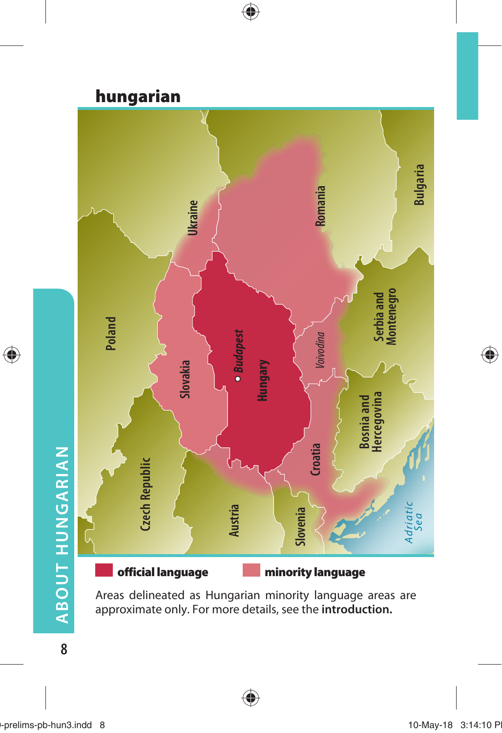# hungarian



Areas delineated as Hungarian minority language areas are approximate only. For more details, see the **introduction.**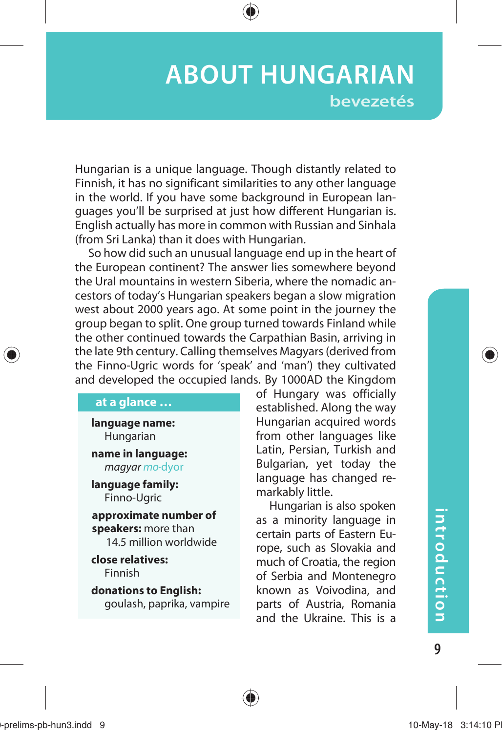Hungarian is a unique language. Though distantly related to Finnish, it has no significant similarities to any other language in the world. If you have some background in European languages you'll be surprised at just how different Hungarian is. English actually has more in common with Russian and Sinhala (from Sri Lanka) than it does with Hungarian.

So how did such an unusual language end up in the heart of the European continent? The answer lies somewhere beyond the Ural mountains in western Siberia, where the nomadic ancestors of today's Hungarian speakers began a slow migration west about 2000 years ago. At some point in the journey the group began to split. One group turned towards Finland while the other continued towards the Carpathian Basin, arriving in the late 9th century. Calling themselves Magyars (derived from the Finno-Ugric words for 'speak' and 'man') they cultivated and developed the occupied lands. By 1000AD the Kingdom

#### **at a glance …**

#### **language name:** Hungarian

**name in language:** *magyar mo*·dyor

**language family:**  Finno-Ugric

**approximate number of speakers:** more than 14.5 million worldwide

**close relatives:** Finnish

**donations to English:** goulash, paprika, vampire of Hungary was officially established. Along the way Hungarian acquired words from other languages like Latin, Persian, Turkish and Bulgarian, yet today the language has changed remarkably little.

 Hungarian is also spoken as a minority language in certain parts of Eastern Europe, such as Slovakia and much of Croatia, the region of Serbia and Montenegro known as Voivodina, and parts of Austria, Romania and the Ukraine. This is a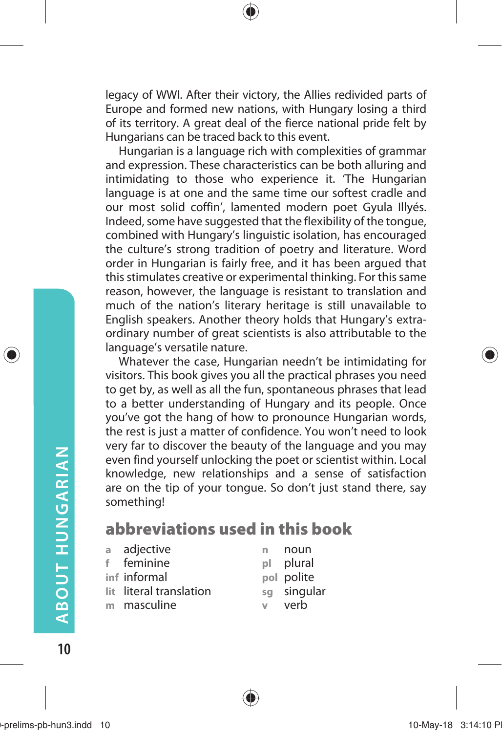legacy of WWI. After their victory, the Allies redivided parts of Europe and formed new nations, with Hungary losing a third of its territory. A great deal of the fierce national pride felt by Hungarians can be traced back to this event.

Hungarian is a language rich with complexities of grammar and expression. These characteristics can be both alluring and intimidating to those who experience it. The Hungarian language is at one and the same time our softest cradle and our most solid coffin', lamented modern poet Gyula Illyés. Indeed, some have suggested that the flexibility of the tongue, combined with Hungary's linguistic isolation, has encouraged the culture's strong tradition of poetry and literature. Word order in Hungarian is fairly free, and it has been argued that this stimulates creative or experimental thinking. For this same reason, however, the language is resistant to translation and much of the nation's literary heritage is still unavailable to English speakers. Another theory holds that Hungary's extraordinary number of great scientists is also attributable to the language's versatile nature.

Whatever the case, Hungarian needn't be intimidating for visitors. This book gives you all the practical phrases you need to get by, as well as all the fun, spontaneous phrases that lead to a better understanding of Hungary and its people. Once you've got the hang of how to pronounce Hungarian words, the rest is just a matter of confidence. You won't need to look very far to discover the beauty of the language and you may even find yourself unlocking the poet or scientist within. Local knowledge, new relationships and a sense of satisfaction are on the tip of your tongue. So don't just stand there, say something!

# abbreviations used in this book

| a adjective             | n            | noun        |
|-------------------------|--------------|-------------|
| f feminine              | рI           | plural      |
| inf informal            |              | pol polite  |
| lit literal translation |              | sg singular |
| m masculine             | $\mathbf{V}$ | verb        |
|                         |              |             |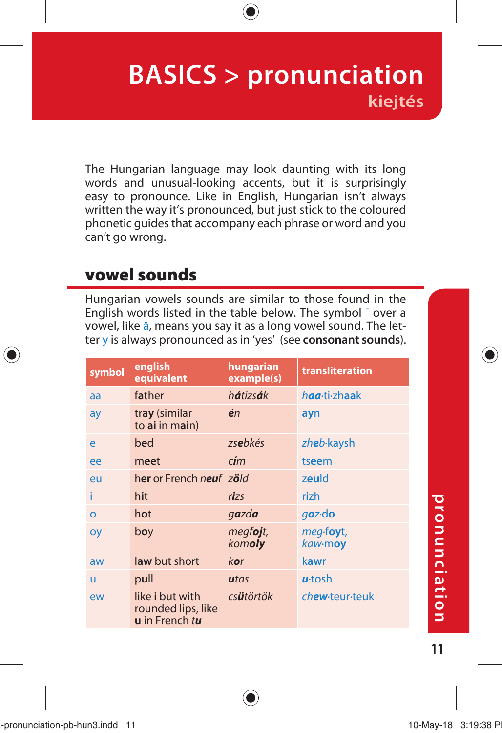The Hungarian language may look daunting with its long words and unusual-looking accents, but it is surprisingly easy to pronounce. Like in English, Hungarian isn't always written the way it's pronounced, but just stick to the coloured phonetic guides that accompany each phrase or word and you can't go wrong.

# vowel sounds

Hungarian vowels sounds are similar to those found in the English words listed in the table below. The symbol ˉ over a vowel, like ā, means you say it as a long vowel sound. The letter y is always pronounced as in 'yes' (see **consonant sounds**).

| symbol   | english<br>equivalent                                   | hungarian<br>example(s) | transliteration           |
|----------|---------------------------------------------------------|-------------------------|---------------------------|
| aa       | father                                                  | hátizsák                | haa-ti-zhaak              |
| ay       | tray (similar<br>to ai in main)                         | én                      | ayn                       |
| e        | bed                                                     | zsebkés                 | zheb-kaysh                |
| ee       | meet                                                    | $\epsilon$ im           | tseem                     |
| eu       | her or French neuf zöld                                 |                         | zeuld                     |
| i        | hit                                                     | rizs                    | rizh                      |
| $\Omega$ | hot                                                     | gazda                   | goz-do                    |
| oy       | boy                                                     | megfojt,<br>komoly      | meg·foyt,<br>kaw·moy      |
| aw       | law but short                                           | kor                     | kawr                      |
| ū        | pull                                                    | utas                    | $u$ -tosh                 |
| ew       | like i but with<br>rounded lips, like<br>u in French tu | csütörtök               | chew <sub>teur-teuk</sub> |